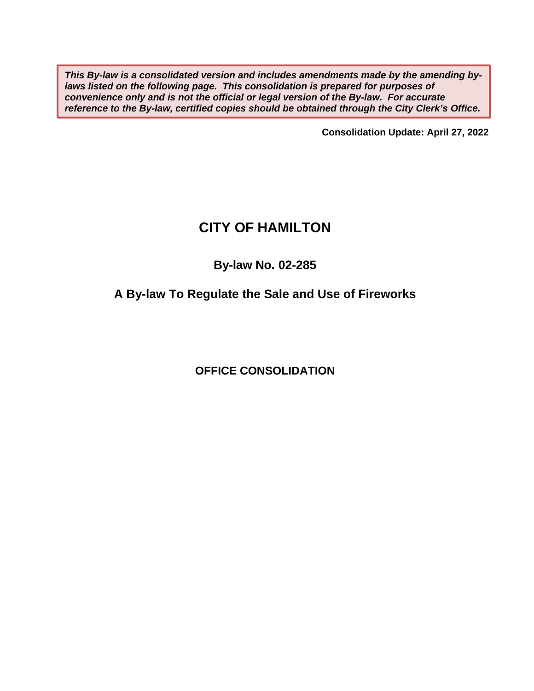*This By-law is a consolidated version and includes amendments made by the amending bylaws listed on the following page. This consolidation is prepared for purposes of convenience only and is not the official or legal version of the By-law. For accurate reference to the By-law, certified copies should be obtained through the City Clerk's Office.* 

**Consolidation Update: April 27, 2022** 

# **CITY OF HAMILTON**

# **By-law No. 02-285**

# **A By-law To Regulate the Sale and Use of Fireworks**

**OFFICE CONSOLIDATION**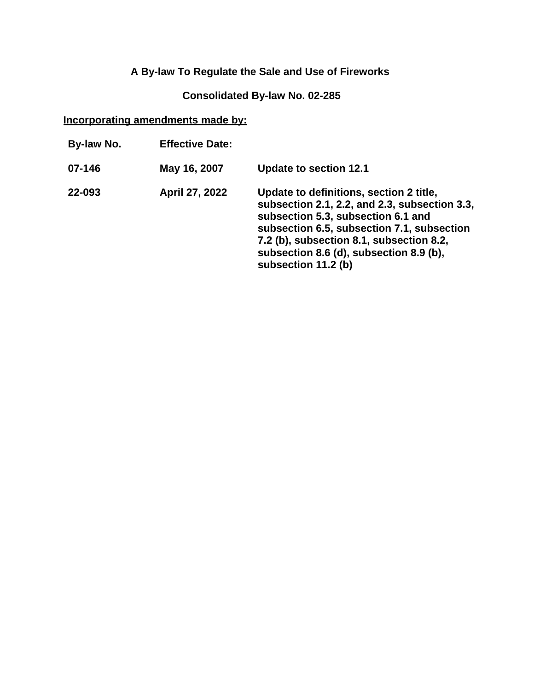# **A By-law To Regulate the Sale and Use of Fireworks**

## **Consolidated By-law No. 02-285**

## **Incorporating amendments made by:**

| By-law No. | <b>Effective Date:</b> |                                                                                                                                                                                                                                                                                            |
|------------|------------------------|--------------------------------------------------------------------------------------------------------------------------------------------------------------------------------------------------------------------------------------------------------------------------------------------|
| 07-146     | May 16, 2007           | <b>Update to section 12.1</b>                                                                                                                                                                                                                                                              |
| 22-093     | April 27, 2022         | Update to definitions, section 2 title,<br>subsection 2.1, 2.2, and 2.3, subsection 3.3,<br>subsection 5.3, subsection 6.1 and<br>subsection 6.5, subsection 7.1, subsection<br>7.2 (b), subsection 8.1, subsection 8.2,<br>subsection 8.6 (d), subsection 8.9 (b),<br>subsection 11.2 (b) |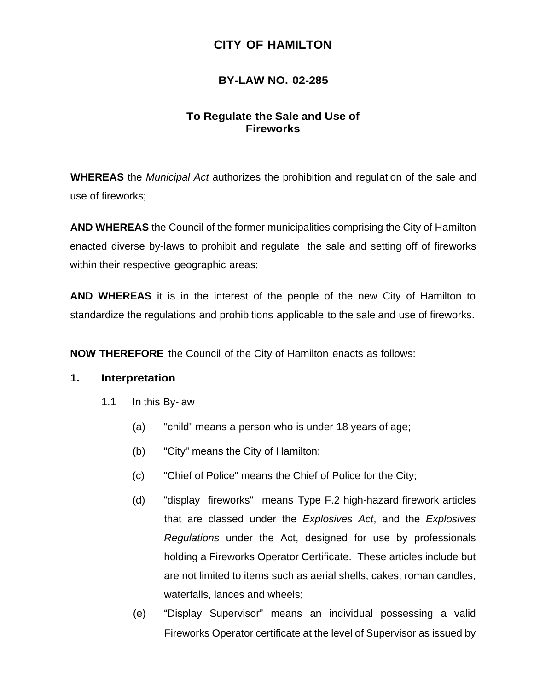# **CITY OF HAMILTON**

## **BY-LAW NO. 02-285**

## **To Regulate the Sale and Use of Fireworks**

**WHEREAS** the *Municipal Act* authorizes the prohibition and regulation of the sale and use of fireworks;

**AND WHEREAS** the Council of the former municipalities comprising the City of Hamilton enacted diverse by-laws to prohibit and regulate the sale and setting off of fireworks within their respective geographic areas;

**AND WHEREAS** it is in the interest of the people of the new City of Hamilton to standardize the regulations and prohibitions applicable to the sale and use of fireworks.

**NOW THEREFORE** the Council of the City of Hamilton enacts as follows:

#### **1. Interpretation**

- 1.1 In this By-law
	- (a) "child" means a person who is under 18 years of age;
	- (b) "City" means the City of Hamilton;
	- (c) "Chief of Police" means the Chief of Police for the City;
	- (d) "display fireworks" means Type F.2 high-hazard firework articles that are classed under the *Explosives Act*, and the *Explosives Regulations* under the Act, designed for use by professionals holding a Fireworks Operator Certificate. These articles include but are not limited to items such as aerial shells, cakes, roman candles, waterfalls, lances and wheels;
	- (e) "Display Supervisor" means an individual possessing a valid Fireworks Operator certificate at the level of Supervisor as issued by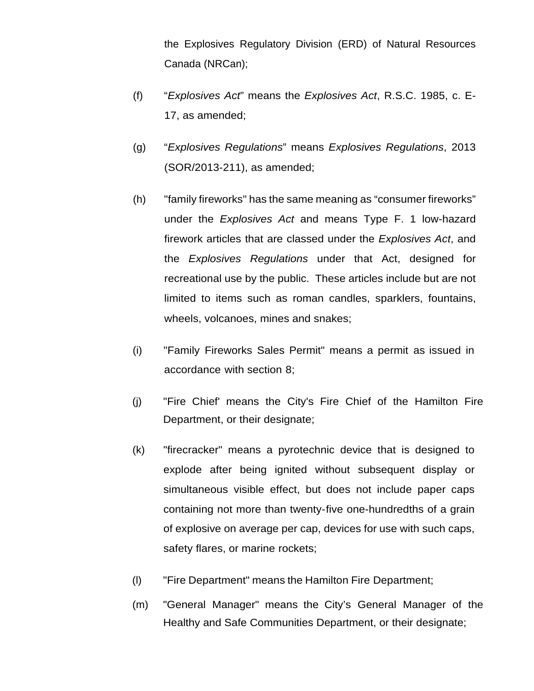the Explosives Regulatory Division (ERD) of Natural Resources Canada (NRCan);

- (f) "*Explosives Act*" means the *Explosives Act*, R.S.C. 1985, c. E-17, as amended;
- (g) "*Explosives Regulations*" means *Explosives Regulations*, 2013 (SOR/2013-211), as amended;
- (h) "family fireworks" has the same meaning as "consumer fireworks" under the *Explosives Act* and means Type F. 1 low-hazard firework articles that are classed under the *Explosives Act*, and the *Explosives Regulations* under that Act, designed for recreational use by the public. These articles include but are not limited to items such as roman candles, sparklers, fountains, wheels, volcanoes, mines and snakes;
- (i) "Family Fireworks Sales Permit" means a permit as issued in accordance with section 8;
- (j) "Fire Chief' means the City's Fire Chief of the Hamilton Fire Department, or their designate;
- (k) "firecracker" means a pyrotechnic device that is designed to explode after being ignited without subsequent display or simultaneous visible effect, but does not include paper caps containing not more than twenty- five one-hundredths of a grain of explosive on average per cap, devices for use with such caps, safety flares, or marine rockets;
- (l) "Fire Department" means the Hamilton Fire Department;
- (m) "General Manager" means the City's General Manager of the Healthy and Safe Communities Department, or their designate;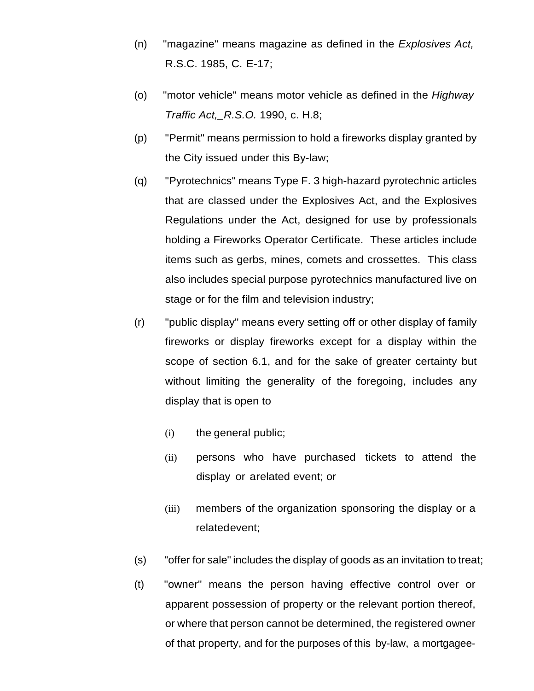- (n) "magazine" means magazine as defined in the *Explosives Act,*  R.S.C. 1985, C. E-17;
- (o) "motor vehicle" means motor vehicle as defined in the *Highway Traffic Act,\_R.S.O.* 1990, c. H.8;
- (p) "Permit" means permission to hold a fireworks display granted by the City issued under this By-law;
- (q) "Pyrotechnics" means Type F. 3 high-hazard pyrotechnic articles that are classed under the Explosives Act, and the Explosives Regulations under the Act, designed for use by professionals holding a Fireworks Operator Certificate. These articles include items such as gerbs, mines, comets and crossettes. This class also includes special purpose pyrotechnics manufactured live on stage or for the film and television industry;
- (r) "public display" means every setting off or other display of family fireworks or display fireworks except for a display within the scope of section 6.1, and for the sake of greater certainty but without limiting the generality of the foregoing, includes any display that is open to
	- (i) the general public;
	- (ii) persons who have purchased tickets to attend the display or arelated event; or
	- (iii) members of the organization sponsoring the display or a related event;
- (s) "offer for sale" includes the display of goods as an invitation to treat;
- (t) "owner" means the person having effective control over or apparent possession of property or the relevant portion thereof, or where that person cannot be determined, the registered owner of that property, and for the purposes of this by-law, a mortgagee-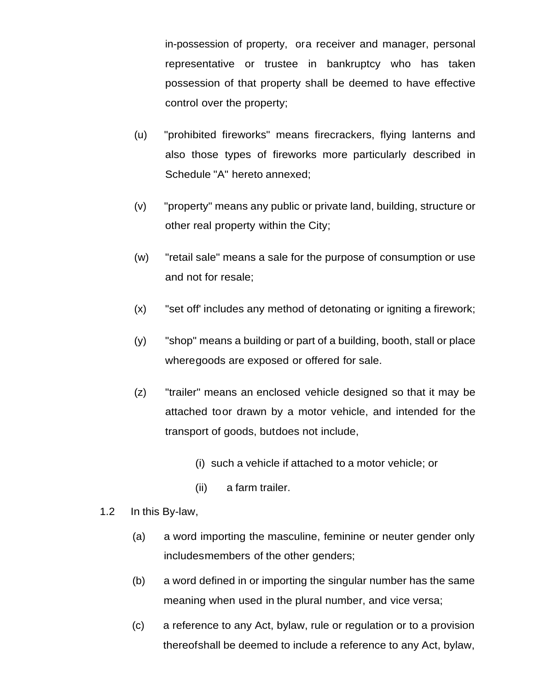in-possession of property, or a receiver and manager, personal representative or trustee in bankruptcy who has taken possession of that property shall be deemed to have effective control over the property;

- (u) "prohibited fireworks" means firecrackers, flying lanterns and also those types of fireworks more particularly described in Schedule "A" hereto annexed;
- (v) "property" means any public or private land, building, structure or other real property within the City;
- (w) "retail sale" means a sale for the purpose of consumption or use and not for resale;
- (x) "set off' includes any method of detonating or igniting a firework;
- (y) "shop" means a building or part of a building, booth, stall or place where goods are exposed or offered for sale.
- (z) "trailer" means an enclosed vehicle designed so that it may be attached to or drawn by a motor vehicle, and intended for the transport of goods, but does not include,
	- (i) such a vehicle if attached to a motor vehicle; or
	- (ii) a farm trailer.
- 1.2 In this By-law,
	- (a) a word importing the masculine, feminine or neuter gender only includes members of the other genders;
	- (b) a word defined in or importing the singular number has the same meaning when used in the plural number, and vice versa;
	- (c) a reference to any Act, bylaw, rule or regulation or to a provision thereof shall be deemed to include a reference to any Act, bylaw,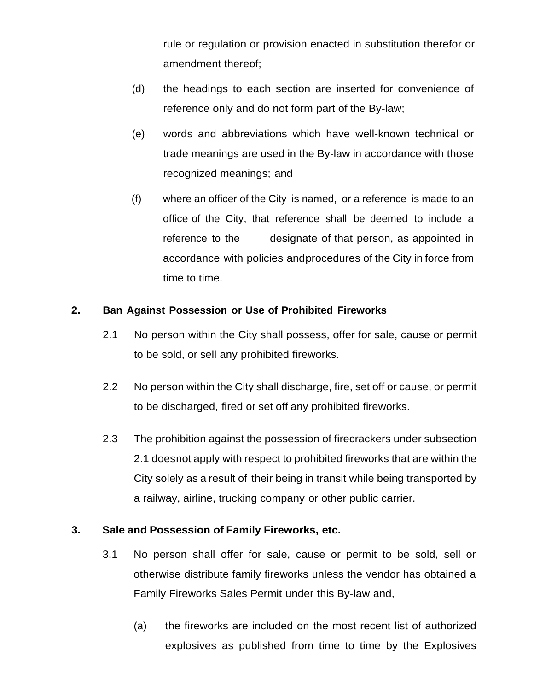rule or regulation or provision enacted in substitution therefor or amendment thereof;

- (d) the headings to each section are inserted for convenience of reference only and do not form part of the By-law;
- (e) words and abbreviations which have well-known technical or trade meanings are used in the By-law in accordance with those recognized meanings; and
- (f) where an officer of the City is named, or a reference is made to an office of the City, that reference shall be deemed to include a reference to the designate of that person, as appointed in accordance with policies and procedures of the City in force from time to time.

## **2. Ban Against Possession or Use of Prohibited Fireworks**

- 2.1 No person within the City shall possess, offer for sale, cause or permit to be sold, or sell any prohibited fireworks.
- 2.2 No person within the City shall discharge, fire, set off or cause, or permit to be discharged, fired or set off any prohibited fireworks.
- 2.3 The prohibition against the possession of firecrackers under subsection 2.1 does not apply with respect to prohibited fireworks that are within the City solely as a result of their being in transit while being transported by a railway, airline, trucking company or other public carrier.

## **3. Sale and Possession of Family Fireworks, etc.**

- 3.1 No person shall offer for sale, cause or permit to be sold, sell or otherwise distribute family fireworks unless the vendor has obtained a Family Fireworks Sales Permit under this By-law and,
	- (a) the fireworks are included on the most recent list of authorized explosives as published from time to time by the Explosives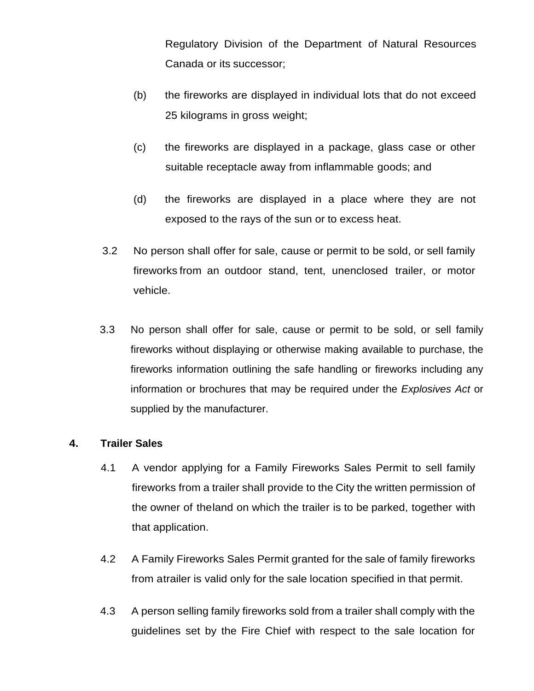Regulatory Division of the Department of Natural Resources Canada or its successor;

- (b) the fireworks are displayed in individual lots that do not exceed 25 kilograms in gross weight;
- (c) the fireworks are displayed in a package, glass case or other suitable receptacle away from inflammable goods; and
- (d) the fireworks are displayed in a place where they are not exposed to the rays of the sun or to excess heat.
- 3.2 No person shall offer for sale, cause or permit to be sold, or sell family fireworks from an outdoor stand, tent, unenclosed trailer, or motor vehicle.
- 3.3 No person shall offer for sale, cause or permit to be sold, or sell family fireworks without displaying or otherwise making available to purchase, the fireworks information outlining the safe handling or fireworks including any information or brochures that may be required under the *Explosives Act* or supplied by the manufacturer.

#### **4. Trailer Sales**

- 4.1 A vendor applying for a Family Fireworks Sales Permit to sell family fireworks from a trailer shall provide to the City the written permission of the owner of the land on which the trailer is to be parked, together with that application.
- 4.2 A Family Fireworks Sales Permit granted for the sale of family fireworks from atrailer is valid only for the sale location specified in that permit.
- 4.3 A person selling family fireworks sold from a trailer shall comply with the guidelines set by the Fire Chief with respect to the sale location for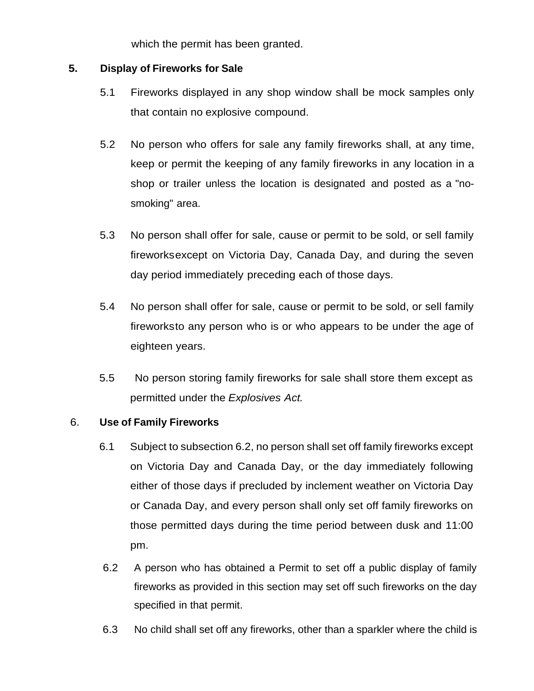which the permit has been granted.

#### **5. Display of Fireworks for Sale**

- 5.1 Fireworks displayed in any shop window shall be mock samples only that contain no explosive compound.
- 5.2 No person who offers for sale any family fireworks shall, at any time, keep or permit the keeping of any family fireworks in any location in a shop or trailer unless the location is designated and posted as a "nosmoking" area.
- 5.3 No person shall offer for sale, cause or permit to be sold, or sell family fireworks except on Victoria Day, Canada Day, and during the seven day period immediately preceding each of those days.
- 5.4 No person shall offer for sale, cause or permit to be sold, or sell family fireworks to any person who is or who appears to be under the age of eighteen years.
- 5.5 No person storing family fireworks for sale shall store them except as permitted under the *Explosives Act.*

#### 6. **Use of Family Fireworks**

- 6.1 Subject to subsection 6.2, no person shall set off family fireworks except on Victoria Day and Canada Day, or the day immediately following either of those days if precluded by inclement weather on Victoria Day or Canada Day, and every person shall only set off family fireworks on those permitted days during the time period between dusk and 11:00 pm.
- 6.2 A person who has obtained a Permit to set off a public display of family fireworks as provided in this section may set off such fireworks on the day specified in that permit.
- 6.3 No child shall set off any fireworks, other than a sparkler where the child is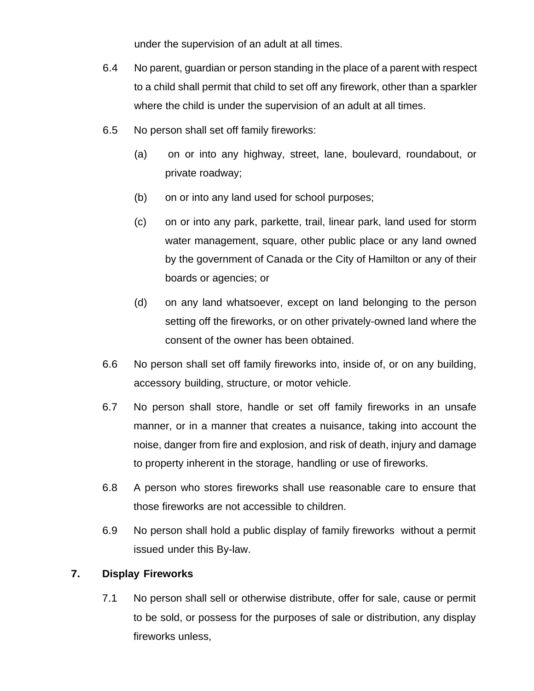under the supervision of an adult at all times.

- 6.4 No parent, guardian or person standing in the place of a parent with respect to a child shall permit that child to set off any firework, other than a sparkler where the child is under the supervision of an adult at all times.
- 6.5 No person shall set off family fireworks:
	- (a) on or into any highway, street, lane, boulevard, roundabout, or private roadway;
	- (b) on or into any land used for school purposes;
	- (c) on or into any park, parkette, trail, linear park, land used for storm water management, square, other public place or any land owned by the government of Canada or the City of Hamilton or any of their boards or agencies; or
	- (d) on any land whatsoever, except on land belonging to the person setting off the fireworks, or on other privately-owned land where the consent of the owner has been obtained.
- 6.6 No person shall set off family fireworks into, inside of, or on any building, accessory building, structure, or motor vehicle.
- 6.7 No person shall store, handle or set off family fireworks in an unsafe manner, or in a manner that creates a nuisance, taking into account the noise, danger from fire and explosion, and risk of death, injury and damage to property inherent in the storage, handling or use of fireworks.
- 6.8 A person who stores fireworks shall use reasonable care to ensure that those fireworks are not accessible to children.
- 6.9 No person shall hold a public display of family fireworks without a permit issued under this By-law.

# **7. Display Fireworks**

7.1 No person shall sell or otherwise distribute, offer for sale, cause or permit to be sold, or possess for the purposes of sale or distribution, any display fireworks unless,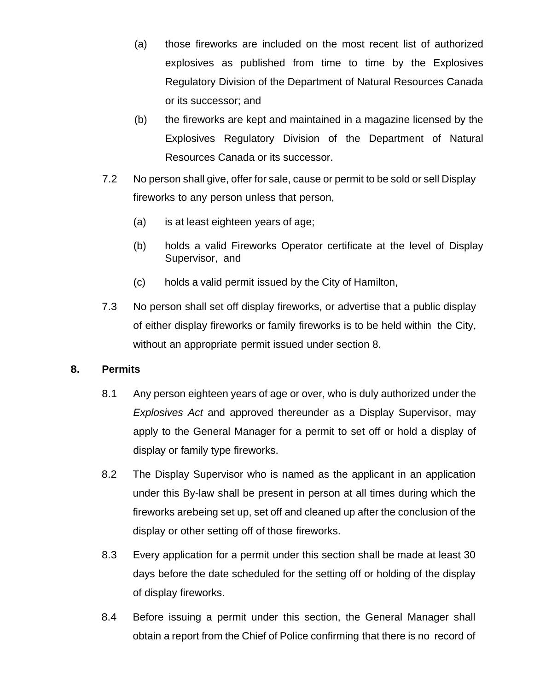- (a) those fireworks are included on the most recent list of authorized explosives as published from time to time by the Explosives Regulatory Division of the Department of Natural Resources Canada or its successor; and
- (b) the fireworks are kept and maintained in a magazine licensed by the Explosives Regulatory Division of the Department of Natural Resources Canada or its successor.
- 7.2 No person shall give, offer for sale, cause or permit to be sold or sell Display fireworks to any person unless that person,
	- (a) is at least eighteen years of age;
	- (b) holds a valid Fireworks Operator certificate at the level of Display Supervisor, and
	- (c) holds a valid permit issued by the City of Hamilton,
- 7.3 No person shall set off display fireworks, or advertise that a public display of either display fireworks or family fireworks is to be held within the City, without an appropriate permit issued under section 8.

#### **8. Permits**

- 8.1 Any person eighteen years of age or over, who is duly authorized under the *Explosives Act* and approved thereunder as a Display Supervisor, may apply to the General Manager for a permit to set off or hold a display of display or family type fireworks.
- 8.2 The Display Supervisor who is named as the applicant in an application under this By-law shall be present in person at all times during which the fireworks are being set up, set off and cleaned up after the conclusion of the display or other setting off of those fireworks.
- 8.3 Every application for a permit under this section shall be made at least 30 days before the date scheduled for the setting off or holding of the display of display fireworks.
- 8.4 Before issuing a permit under this section, the General Manager shall obtain a report from the Chief of Police confirming that there is no record of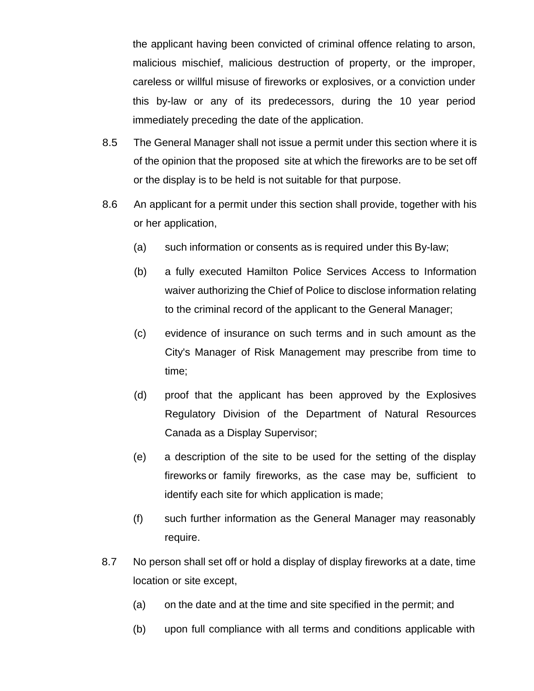the applicant having been convicted of criminal offence relating to arson, malicious mischief, malicious destruction of property, or the improper, careless or willful misuse of fireworks or explosives, or a conviction under this by-law or any of its predecessors, during the 10 year period immediately preceding the date of the application.

- 8.5 The General Manager shall not issue a permit under this section where it is of the opinion that the proposed site at which the fireworks are to be set off or the display is to be held is not suitable for that purpose.
- 8.6 An applicant for a permit under this section shall provide, together with his or her application,
	- (a) such information or consents as is required under this By-law;
	- (b) a fully executed Hamilton Police Services Access to Information waiver authorizing the Chief of Police to disclose information relating to the criminal record of the applicant to the General Manager;
	- (c) evidence of insurance on such terms and in such amount as the City's Manager of Risk Management may prescribe from time to time;
	- (d) proof that the applicant has been approved by the Explosives Regulatory Division of the Department of Natural Resources Canada as a Display Supervisor;
	- (e) a description of the site to be used for the setting of the display fireworks or family fireworks, as the case may be, sufficient to identify each site for which application is made;
	- (f) such further information as the General Manager may reasonably require.
- 8.7 No person shall set off or hold a display of display fireworks at a date, time location or site except,
	- (a) on the date and at the time and site specified in the permit; and
	- (b) upon full compliance with all terms and conditions applicable with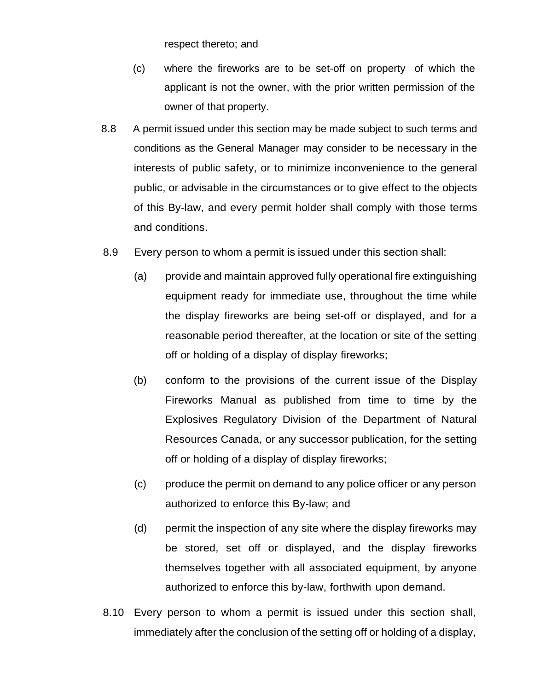respect thereto; and

- (c) where the fireworks are to be set-off on property of which the applicant is not the owner, with the prior written permission of the owner of that property.
- 8.8 A permit issued under this section may be made subject to such terms and conditions as the General Manager may consider to be necessary in the interests of public safety, or to minimize inconvenience to the general public, or advisable in the circumstances or to give effect to the objects of this By-law, and every permit holder shall comply with those terms and conditions.
- 8.9 Every person to whom a permit is issued under this section shall:
	- (a) provide and maintain approved fully operational fire extinguishing equipment ready for immediate use, throughout the time while the display fireworks are being set-off or displayed, and for a reasonable period thereafter, at the location or site of the setting off or holding of a display of display fireworks;
	- (b) conform to the provisions of the current issue of the Display Fireworks Manual as published from time to time by the Explosives Regulatory Division of the Department of Natural Resources Canada, or any successor publication, for the setting off or holding of a display of display fireworks;
	- (c) produce the permit on demand to any police officer or any person authorized to enforce this By-law; and
	- (d) permit the inspection of any site where the display fireworks may be stored, set off or displayed, and the display fireworks themselves together with all associated equipment, by anyone authorized to enforce this by-law, forthwith upon demand.
- 8.10 Every person to whom a permit is issued under this section shall, immediately after the conclusion of the setting off or holding of a display,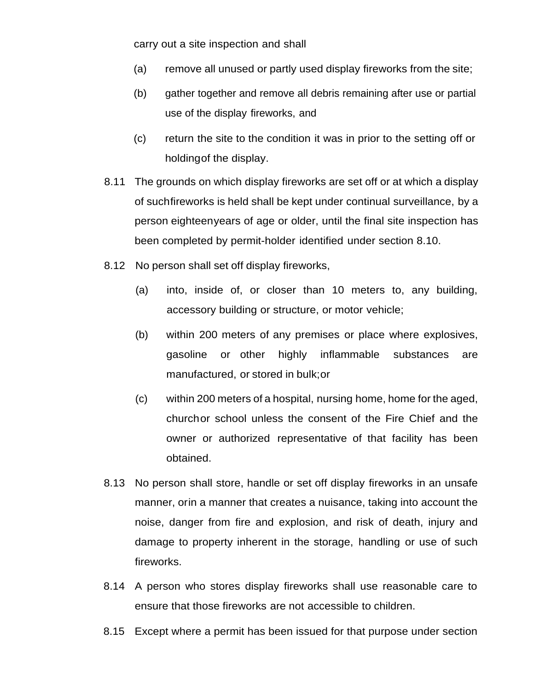carry out a site inspection and shall

- (a) remove all unused or partly used display fireworks from the site;
- (b) gather together and remove all debris remaining after use or partial use of the display fireworks, and
- (c) return the site to the condition it was in prior to the setting off or holding of the display.
- 8.11 The grounds on which display fireworks are set off or at which a display of such fireworks is held shall be kept under continual surveillance, by a person eighteen years of age or older, until the final site inspection has been completed by permit-holder identified under section 8.10.
- 8.12 No person shall set off display fireworks,
	- (a) into, inside of, or closer than 10 meters to, any building, accessory building or structure, or motor vehicle;
	- (b) within 200 meters of any premises or place where explosives, gasoline or other highly inflammable substances are manufactured, or stored in bulk; or
	- (c) within 200 meters of a hospital, nursing home, home for the aged, church or school unless the consent of the Fire Chief and the owner or authorized representative of that facility has been obtained.
- 8.13 No person shall store, handle or set off display fireworks in an unsafe manner, orin a manner that creates a nuisance, taking into account the noise, danger from fire and explosion, and risk of death, injury and damage to property inherent in the storage, handling or use of such fireworks.
- 8.14 A person who stores display fireworks shall use reasonable care to ensure that those fireworks are not accessible to children.
- 8.15 Except where a permit has been issued for that purpose under section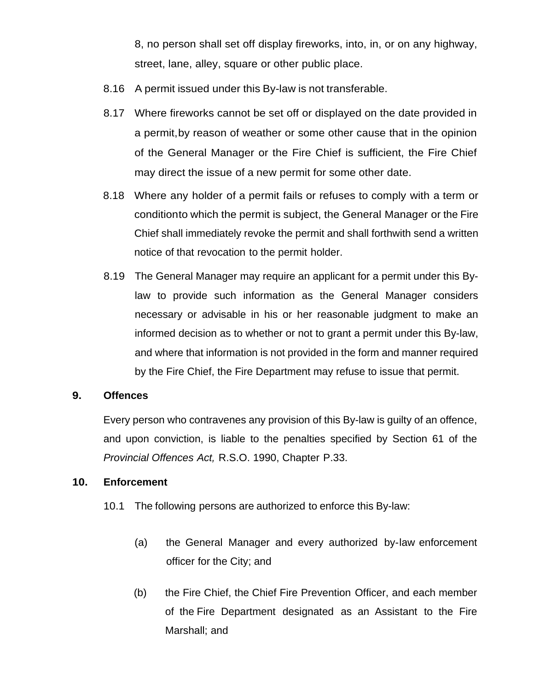8, no person shall set off display fireworks, into, in, or on any highway, street, lane, alley, square or other public place.

- 8.16 A permit issued under this By-law is not transferable.
- 8.17 Where fireworks cannot be set off or displayed on the date provided in a permit, by reason of weather or some other cause that in the opinion of the General Manager or the Fire Chief is sufficient, the Fire Chief may direct the issue of a new permit for some other date.
- 8.18 Where any holder of a permit fails or refuses to comply with a term or condition to which the permit is subject, the General Manager or the Fire Chief shall immediately revoke the permit and shall forthwith send a written notice of that revocation to the permit holder.
- 8.19 The General Manager may require an applicant for a permit under this Bylaw to provide such information as the General Manager considers necessary or advisable in his or her reasonable judgment to make an informed decision as to whether or not to grant a permit under this By-law, and where that information is not provided in the form and manner required by the Fire Chief, the Fire Department may refuse to issue that permit.

#### **9. Offences**

Every person who contravenes any provision of this By-law is guilty of an offence, and upon conviction, is liable to the penalties specified by Section 61 of the *Provincial Offences Act,* R.S.O. 1990, Chapter P.33.

#### **10. Enforcement**

- 10.1 The following persons are authorized to enforce this By-law:
	- (a) the General Manager and every authorized by-law enforcement officer for the City; and
	- (b) the Fire Chief, the Chief Fire Prevention Officer, and each member of the Fire Department designated as an Assistant to the Fire Marshall; and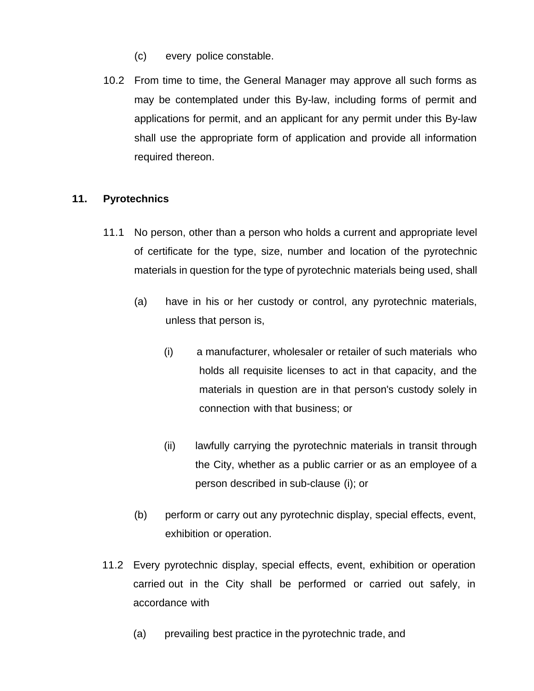- (c) every police constable.
- 10.2 From time to time, the General Manager may approve all such forms as may be contemplated under this By-law, including forms of permit and applications for permit, and an applicant for any permit under this By-law shall use the appropriate form of application and provide all information required thereon.

## **11. Pyrotechnics**

- 11.1 No person, other than a person who holds a current and appropriate level of certificate for the type, size, number and location of the pyrotechnic materials in question for the type of pyrotechnic materials being used, shall
	- (a) have in his or her custody or control, any pyrotechnic materials, unless that person is,
		- (i) a manufacturer, wholesaler or retailer of such materials who holds all requisite licenses to act in that capacity, and the materials in question are in that person's custody solely in connection with that business; or
		- (ii) lawfully carrying the pyrotechnic materials in transit through the City, whether as a public carrier or as an employee of a person described in sub-clause (i); or
	- (b) perform or carry out any pyrotechnic display, special effects, event, exhibition or operation.
- 11.2 Every pyrotechnic display, special effects, event, exhibition or operation carried out in the City shall be performed or carried out safely, in accordance with
	- (a) prevailing best practice in the pyrotechnic trade, and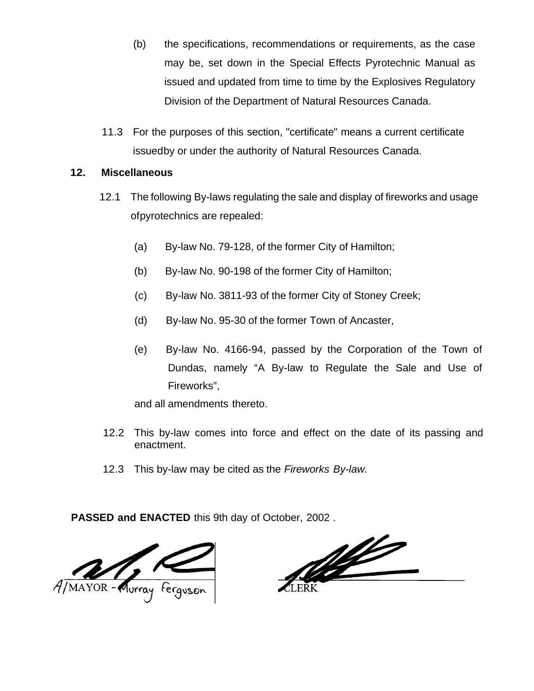- (b) the specifications, recommendations or requirements, as the case may be, set down in the Special Effects Pyrotechnic Manual as issued and updated from time to time by the Explosives Regulatory Division of the Department of Natural Resources Canada.
- 11.3 For the purposes of this section, "certificate" means a current certificate issued by or under the authority of Natural Resources Canada.

#### **12. Miscellaneous**

- 12.1 The following By-laws regulating the sale and display of fireworks and usage of pyrotechnics are repealed:
	- (a) By-law No. 79-128, of the former City of Hamilton;
	- (b) By-law No. 90-198 of the former City of Hamilton;
	- (c) By-law No. 3811-93 of the former City of Stoney Creek;
	- (d) By-law No. 95-30 of the former Town of Ancaster,
	- (e) By-law No. 4166-94, passed by the Corporation of the Town of Dundas, namely "A By-law to Regulate the Sale and Use of Fireworks",

and all amendments thereto.

- 12.2 This by-law comes into force and effect on the date of its passing and enactment.
- 12.3 This by-law may be cited as the *Fireworks By-law.*

**PASSED and ENACTED** this 9th day of October, 2002 .



<u>NG</u>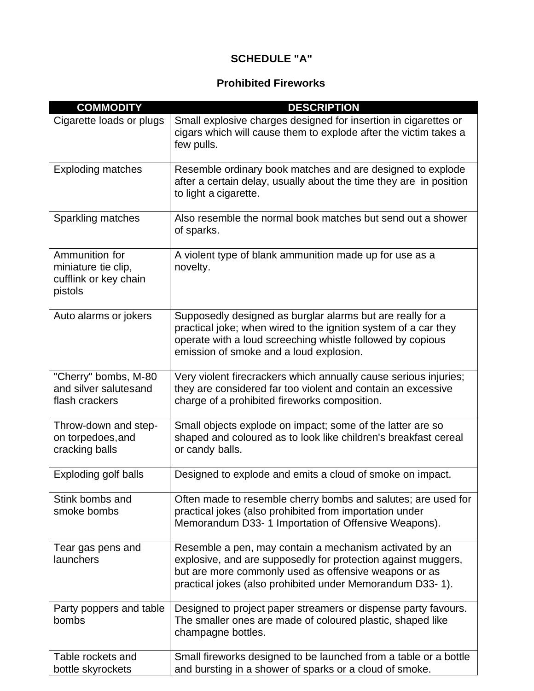# **SCHEDULE "A"**

# **Prohibited Fireworks**

| <b>COMMODITY</b>                                                          | <b>DESCRIPTION</b>                                                                                                                                                                                                                             |
|---------------------------------------------------------------------------|------------------------------------------------------------------------------------------------------------------------------------------------------------------------------------------------------------------------------------------------|
| Cigarette loads or plugs                                                  | Small explosive charges designed for insertion in cigarettes or<br>cigars which will cause them to explode after the victim takes a<br>few pulls.                                                                                              |
| <b>Exploding matches</b>                                                  | Resemble ordinary book matches and are designed to explode<br>after a certain delay, usually about the time they are in position<br>to light a cigarette.                                                                                      |
| Sparkling matches                                                         | Also resemble the normal book matches but send out a shower<br>of sparks.                                                                                                                                                                      |
| Ammunition for<br>miniature tie clip,<br>cufflink or key chain<br>pistols | A violent type of blank ammunition made up for use as a<br>novelty.                                                                                                                                                                            |
| Auto alarms or jokers                                                     | Supposedly designed as burglar alarms but are really for a<br>practical joke; when wired to the ignition system of a car they<br>operate with a loud screeching whistle followed by copious<br>emission of smoke and a loud explosion.         |
| "Cherry" bombs, M-80<br>and silver salutesand<br>flash crackers           | Very violent firecrackers which annually cause serious injuries;<br>they are considered far too violent and contain an excessive<br>charge of a prohibited fireworks composition.                                                              |
| Throw-down and step-<br>on torpedoes, and<br>cracking balls               | Small objects explode on impact; some of the latter are so<br>shaped and coloured as to look like children's breakfast cereal<br>or candy balls.                                                                                               |
| Exploding golf balls                                                      | Designed to explode and emits a cloud of smoke on impact.                                                                                                                                                                                      |
| Stink bombs and<br>smoke bombs                                            | Often made to resemble cherry bombs and salutes; are used for<br>practical jokes (also prohibited from importation under<br>Memorandum D33- 1 Importation of Offensive Weapons).                                                               |
| Tear gas pens and<br>launchers                                            | Resemble a pen, may contain a mechanism activated by an<br>explosive, and are supposedly for protection against muggers,<br>but are more commonly used as offensive weapons or as<br>practical jokes (also prohibited under Memorandum D33-1). |
| Party poppers and table<br>bombs                                          | Designed to project paper streamers or dispense party favours.<br>The smaller ones are made of coloured plastic, shaped like<br>champagne bottles.                                                                                             |
| Table rockets and<br>bottle skyrockets                                    | Small fireworks designed to be launched from a table or a bottle<br>and bursting in a shower of sparks or a cloud of smoke.                                                                                                                    |